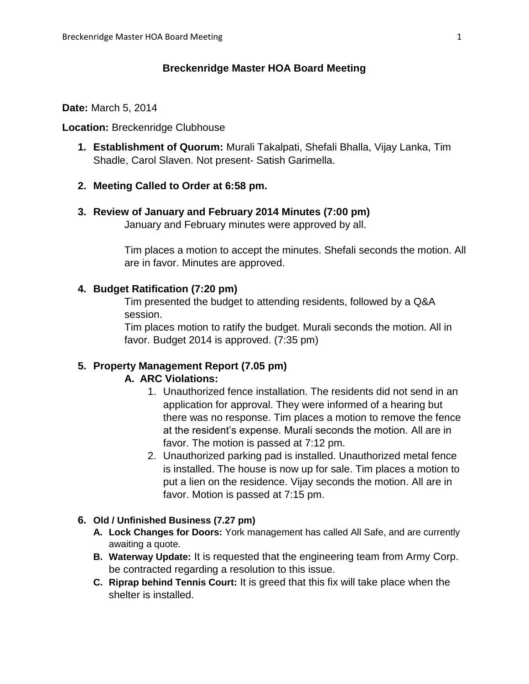## **Breckenridge Master HOA Board Meeting**

#### **Date:** March 5, 2014

### **Location:** Breckenridge Clubhouse

**1. Establishment of Quorum:** Murali Takalpati, Shefali Bhalla, Vijay Lanka, Tim Shadle, Carol Slaven. Not present- Satish Garimella.

## **2. Meeting Called to Order at 6:58 pm.**

## **3. Review of January and February 2014 Minutes (7:00 pm)**

January and February minutes were approved by all.

Tim places a motion to accept the minutes. Shefali seconds the motion. All are in favor. Minutes are approved.

## **4. Budget Ratification (7:20 pm)**

Tim presented the budget to attending residents, followed by a Q&A session.

Tim places motion to ratify the budget. Murali seconds the motion. All in favor. Budget 2014 is approved. (7:35 pm)

# **5. Property Management Report (7.05 pm)**

## **A. ARC Violations:**

- 1. Unauthorized fence installation. The residents did not send in an application for approval. They were informed of a hearing but there was no response. Tim places a motion to remove the fence at the resident's expense. Murali seconds the motion. All are in favor. The motion is passed at 7:12 pm.
- 2. Unauthorized parking pad is installed. Unauthorized metal fence is installed. The house is now up for sale. Tim places a motion to put a lien on the residence. Vijay seconds the motion. All are in favor. Motion is passed at 7:15 pm.

### **6. Old / Unfinished Business (7.27 pm)**

- **A. Lock Changes for Doors:** York management has called All Safe, and are currently awaiting a quote.
- **B. Waterway Update:** It is requested that the engineering team from Army Corp. be contracted regarding a resolution to this issue.
- **C. Riprap behind Tennis Court:** It is greed that this fix will take place when the shelter is installed.